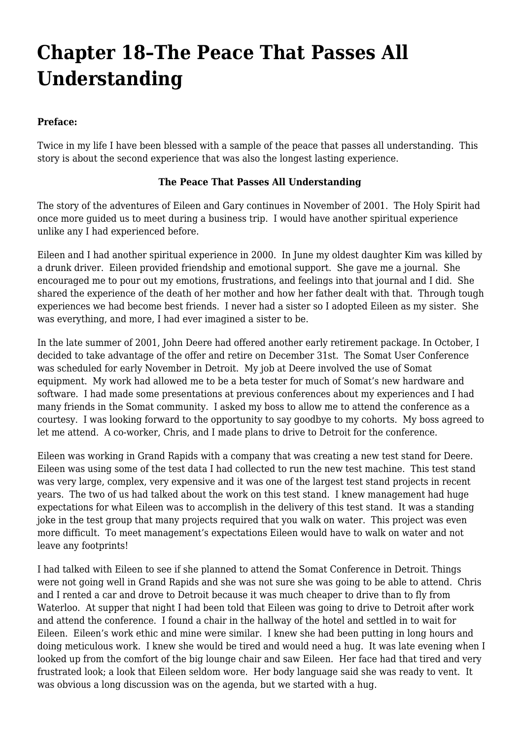## **[Chapter 18–The Peace That Passes All](https://www.garystrattonfirefighter.com/2015/08/31/chapter-18-the-peace-that-passes-all-understanding/) [Understanding](https://www.garystrattonfirefighter.com/2015/08/31/chapter-18-the-peace-that-passes-all-understanding/)**

## **Preface:**

Twice in my life I have been blessed with a sample of the peace that passes all understanding. This story is about the second experience that was also the longest lasting experience.

## **The Peace That Passes All Understanding**

The story of the adventures of Eileen and Gary continues in November of 2001. The Holy Spirit had once more guided us to meet during a business trip. I would have another spiritual experience unlike any I had experienced before.

Eileen and I had another spiritual experience in 2000. In June my oldest daughter Kim was killed by a drunk driver. Eileen provided friendship and emotional support. She gave me a journal. She encouraged me to pour out my emotions, frustrations, and feelings into that journal and I did. She shared the experience of the death of her mother and how her father dealt with that. Through tough experiences we had become best friends. I never had a sister so I adopted Eileen as my sister. She was everything, and more, I had ever imagined a sister to be.

In the late summer of 2001, John Deere had offered another early retirement package. In October, I decided to take advantage of the offer and retire on December 31st. The Somat User Conference was scheduled for early November in Detroit. My job at Deere involved the use of Somat equipment. My work had allowed me to be a beta tester for much of Somat's new hardware and software. I had made some presentations at previous conferences about my experiences and I had many friends in the Somat community. I asked my boss to allow me to attend the conference as a courtesy. I was looking forward to the opportunity to say goodbye to my cohorts. My boss agreed to let me attend. A co-worker, Chris, and I made plans to drive to Detroit for the conference.

Eileen was working in Grand Rapids with a company that was creating a new test stand for Deere. Eileen was using some of the test data I had collected to run the new test machine. This test stand was very large, complex, very expensive and it was one of the largest test stand projects in recent years. The two of us had talked about the work on this test stand. I knew management had huge expectations for what Eileen was to accomplish in the delivery of this test stand. It was a standing joke in the test group that many projects required that you walk on water. This project was even more difficult. To meet management's expectations Eileen would have to walk on water and not leave any footprints!

I had talked with Eileen to see if she planned to attend the Somat Conference in Detroit. Things were not going well in Grand Rapids and she was not sure she was going to be able to attend. Chris and I rented a car and drove to Detroit because it was much cheaper to drive than to fly from Waterloo. At supper that night I had been told that Eileen was going to drive to Detroit after work and attend the conference. I found a chair in the hallway of the hotel and settled in to wait for Eileen. Eileen's work ethic and mine were similar. I knew she had been putting in long hours and doing meticulous work. I knew she would be tired and would need a hug. It was late evening when I looked up from the comfort of the big lounge chair and saw Eileen. Her face had that tired and very frustrated look; a look that Eileen seldom wore. Her body language said she was ready to vent. It was obvious a long discussion was on the agenda, but we started with a hug.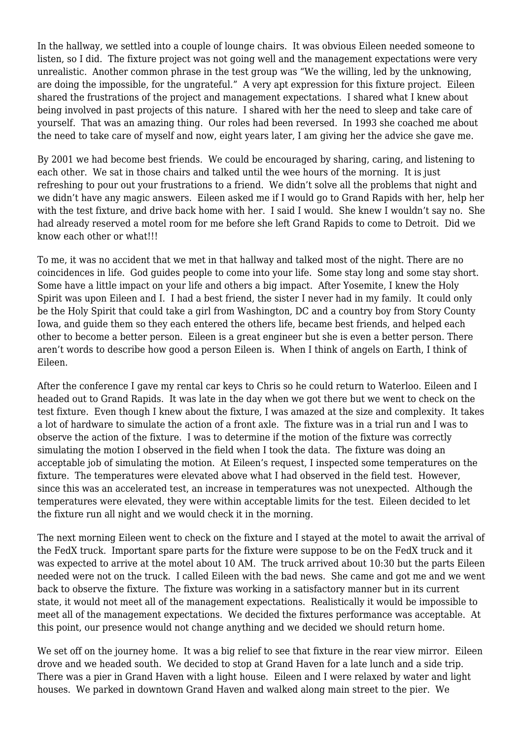In the hallway, we settled into a couple of lounge chairs. It was obvious Eileen needed someone to listen, so I did. The fixture project was not going well and the management expectations were very unrealistic. Another common phrase in the test group was "We the willing, led by the unknowing, are doing the impossible, for the ungrateful." A very apt expression for this fixture project. Eileen shared the frustrations of the project and management expectations. I shared what I knew about being involved in past projects of this nature. I shared with her the need to sleep and take care of yourself. That was an amazing thing. Our roles had been reversed. In 1993 she coached me about the need to take care of myself and now, eight years later, I am giving her the advice she gave me.

By 2001 we had become best friends. We could be encouraged by sharing, caring, and listening to each other. We sat in those chairs and talked until the wee hours of the morning. It is just refreshing to pour out your frustrations to a friend. We didn't solve all the problems that night and we didn't have any magic answers. Eileen asked me if I would go to Grand Rapids with her, help her with the test fixture, and drive back home with her. I said I would. She knew I wouldn't say no. She had already reserved a motel room for me before she left Grand Rapids to come to Detroit. Did we know each other or what!!!

To me, it was no accident that we met in that hallway and talked most of the night. There are no coincidences in life. God guides people to come into your life. Some stay long and some stay short. Some have a little impact on your life and others a big impact. After Yosemite, I knew the Holy Spirit was upon Eileen and I. I had a best friend, the sister I never had in my family. It could only be the Holy Spirit that could take a girl from Washington, DC and a country boy from Story County Iowa, and guide them so they each entered the others life, became best friends, and helped each other to become a better person. Eileen is a great engineer but she is even a better person. There aren't words to describe how good a person Eileen is. When I think of angels on Earth, I think of Eileen.

After the conference I gave my rental car keys to Chris so he could return to Waterloo. Eileen and I headed out to Grand Rapids. It was late in the day when we got there but we went to check on the test fixture. Even though I knew about the fixture, I was amazed at the size and complexity. It takes a lot of hardware to simulate the action of a front axle. The fixture was in a trial run and I was to observe the action of the fixture. I was to determine if the motion of the fixture was correctly simulating the motion I observed in the field when I took the data. The fixture was doing an acceptable job of simulating the motion. At Eileen's request, I inspected some temperatures on the fixture. The temperatures were elevated above what I had observed in the field test. However, since this was an accelerated test, an increase in temperatures was not unexpected. Although the temperatures were elevated, they were within acceptable limits for the test. Eileen decided to let the fixture run all night and we would check it in the morning.

The next morning Eileen went to check on the fixture and I stayed at the motel to await the arrival of the FedX truck. Important spare parts for the fixture were suppose to be on the FedX truck and it was expected to arrive at the motel about 10 AM. The truck arrived about 10:30 but the parts Eileen needed were not on the truck. I called Eileen with the bad news. She came and got me and we went back to observe the fixture. The fixture was working in a satisfactory manner but in its current state, it would not meet all of the management expectations. Realistically it would be impossible to meet all of the management expectations. We decided the fixtures performance was acceptable. At this point, our presence would not change anything and we decided we should return home.

We set off on the journey home. It was a big relief to see that fixture in the rear view mirror. Eileen drove and we headed south. We decided to stop at Grand Haven for a late lunch and a side trip. There was a pier in Grand Haven with a light house. Eileen and I were relaxed by water and light houses. We parked in downtown Grand Haven and walked along main street to the pier. We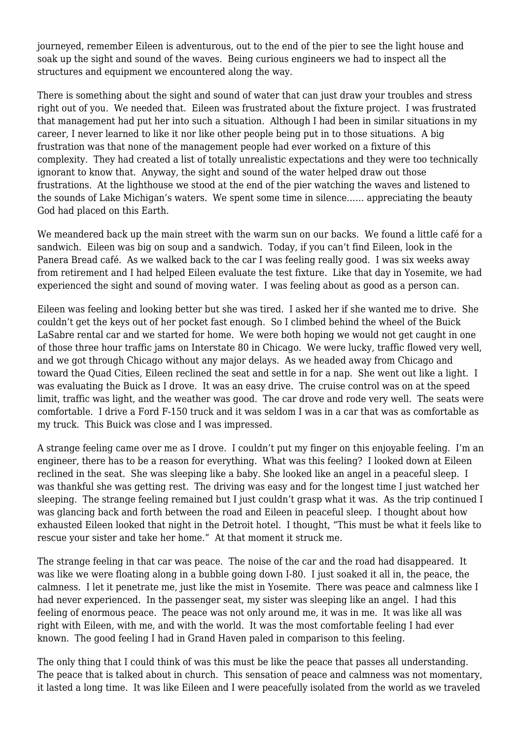journeyed, remember Eileen is adventurous, out to the end of the pier to see the light house and soak up the sight and sound of the waves. Being curious engineers we had to inspect all the structures and equipment we encountered along the way.

There is something about the sight and sound of water that can just draw your troubles and stress right out of you. We needed that. Eileen was frustrated about the fixture project. I was frustrated that management had put her into such a situation. Although I had been in similar situations in my career, I never learned to like it nor like other people being put in to those situations. A big frustration was that none of the management people had ever worked on a fixture of this complexity. They had created a list of totally unrealistic expectations and they were too technically ignorant to know that. Anyway, the sight and sound of the water helped draw out those frustrations. At the lighthouse we stood at the end of the pier watching the waves and listened to the sounds of Lake Michigan's waters. We spent some time in silence…… appreciating the beauty God had placed on this Earth.

We meandered back up the main street with the warm sun on our backs. We found a little café for a sandwich. Eileen was big on soup and a sandwich. Today, if you can't find Eileen, look in the Panera Bread café. As we walked back to the car I was feeling really good. I was six weeks away from retirement and I had helped Eileen evaluate the test fixture. Like that day in Yosemite, we had experienced the sight and sound of moving water. I was feeling about as good as a person can.

Eileen was feeling and looking better but she was tired. I asked her if she wanted me to drive. She couldn't get the keys out of her pocket fast enough. So I climbed behind the wheel of the Buick LaSabre rental car and we started for home. We were both hoping we would not get caught in one of those three hour traffic jams on Interstate 80 in Chicago. We were lucky, traffic flowed very well, and we got through Chicago without any major delays. As we headed away from Chicago and toward the Quad Cities, Eileen reclined the seat and settle in for a nap. She went out like a light. I was evaluating the Buick as I drove. It was an easy drive. The cruise control was on at the speed limit, traffic was light, and the weather was good. The car drove and rode very well. The seats were comfortable. I drive a Ford F-150 truck and it was seldom I was in a car that was as comfortable as my truck. This Buick was close and I was impressed.

A strange feeling came over me as I drove. I couldn't put my finger on this enjoyable feeling. I'm an engineer, there has to be a reason for everything. What was this feeling? I looked down at Eileen reclined in the seat. She was sleeping like a baby. She looked like an angel in a peaceful sleep. I was thankful she was getting rest. The driving was easy and for the longest time I just watched her sleeping. The strange feeling remained but I just couldn't grasp what it was. As the trip continued I was glancing back and forth between the road and Eileen in peaceful sleep. I thought about how exhausted Eileen looked that night in the Detroit hotel. I thought, "This must be what it feels like to rescue your sister and take her home." At that moment it struck me.

The strange feeling in that car was peace. The noise of the car and the road had disappeared. It was like we were floating along in a bubble going down I-80. I just soaked it all in, the peace, the calmness. I let it penetrate me, just like the mist in Yosemite. There was peace and calmness like I had never experienced. In the passenger seat, my sister was sleeping like an angel. I had this feeling of enormous peace. The peace was not only around me, it was in me. It was like all was right with Eileen, with me, and with the world. It was the most comfortable feeling I had ever known. The good feeling I had in Grand Haven paled in comparison to this feeling.

The only thing that I could think of was this must be like the peace that passes all understanding. The peace that is talked about in church. This sensation of peace and calmness was not momentary, it lasted a long time. It was like Eileen and I were peacefully isolated from the world as we traveled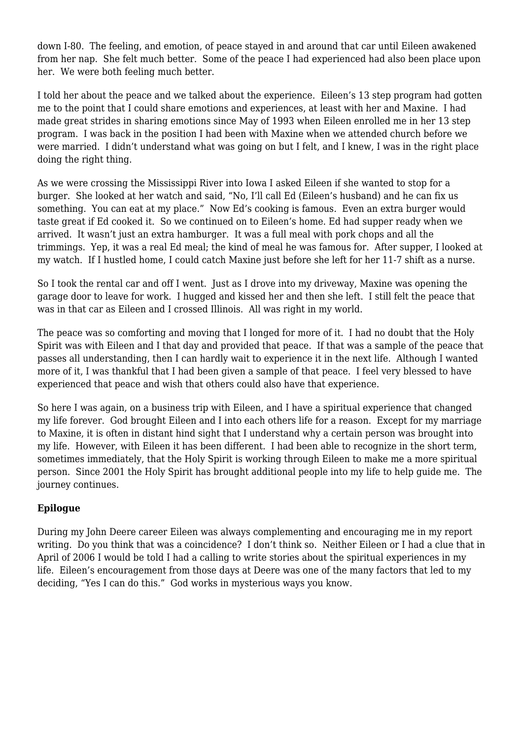down I-80. The feeling, and emotion, of peace stayed in and around that car until Eileen awakened from her nap. She felt much better. Some of the peace I had experienced had also been place upon her. We were both feeling much better.

I told her about the peace and we talked about the experience. Eileen's 13 step program had gotten me to the point that I could share emotions and experiences, at least with her and Maxine. I had made great strides in sharing emotions since May of 1993 when Eileen enrolled me in her 13 step program. I was back in the position I had been with Maxine when we attended church before we were married. I didn't understand what was going on but I felt, and I knew, I was in the right place doing the right thing.

As we were crossing the Mississippi River into Iowa I asked Eileen if she wanted to stop for a burger. She looked at her watch and said, "No, I'll call Ed (Eileen's husband) and he can fix us something. You can eat at my place." Now Ed's cooking is famous. Even an extra burger would taste great if Ed cooked it. So we continued on to Eileen's home. Ed had supper ready when we arrived. It wasn't just an extra hamburger. It was a full meal with pork chops and all the trimmings. Yep, it was a real Ed meal; the kind of meal he was famous for. After supper, I looked at my watch. If I hustled home, I could catch Maxine just before she left for her 11-7 shift as a nurse.

So I took the rental car and off I went. Just as I drove into my driveway, Maxine was opening the garage door to leave for work. I hugged and kissed her and then she left. I still felt the peace that was in that car as Eileen and I crossed Illinois. All was right in my world.

The peace was so comforting and moving that I longed for more of it. I had no doubt that the Holy Spirit was with Eileen and I that day and provided that peace. If that was a sample of the peace that passes all understanding, then I can hardly wait to experience it in the next life. Although I wanted more of it, I was thankful that I had been given a sample of that peace. I feel very blessed to have experienced that peace and wish that others could also have that experience.

So here I was again, on a business trip with Eileen, and I have a spiritual experience that changed my life forever. God brought Eileen and I into each others life for a reason. Except for my marriage to Maxine, it is often in distant hind sight that I understand why a certain person was brought into my life. However, with Eileen it has been different. I had been able to recognize in the short term, sometimes immediately, that the Holy Spirit is working through Eileen to make me a more spiritual person. Since 2001 the Holy Spirit has brought additional people into my life to help guide me. The journey continues.

## **Epilogue**

During my John Deere career Eileen was always complementing and encouraging me in my report writing. Do you think that was a coincidence? I don't think so. Neither Eileen or I had a clue that in April of 2006 I would be told I had a calling to write stories about the spiritual experiences in my life. Eileen's encouragement from those days at Deere was one of the many factors that led to my deciding, "Yes I can do this." God works in mysterious ways you know.